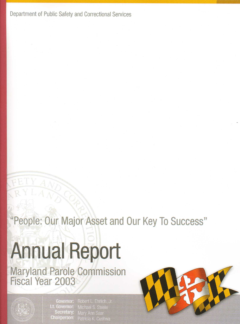Department of Public Safety and Correctional Services

"People: Our Major Asset and Our Key To Success"

# **Annual Report**

Maryland Parole Commission<br>Fiscal Year 2003



Lt. Governor: Secretary: **Chairperson:** 

Governor: Robert L. Ehrlich, Jr. Michael S. Steele **Mary Ann Saar** Patricia K. Cushwa

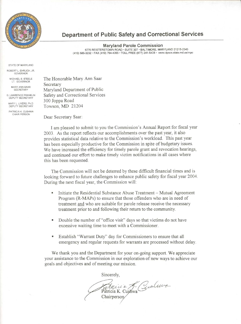

# Department of Public Safety and Correctional Services

**Maryland Parole Commission** 6776 REISTERSTOWN ROAD · SUITE 307 · BALTIMORE, MARYLAND 21215-2343 (410) 585-3232 · FAX (410) 764-4355 · TOLL FREE (877) 241-5428 · www.dpscs.state.md.us/mpc

STATE OF MARYLAND

ROBERT L. EHRLICH, JR. GOVERNOR MICHAEL S. STEELE

> LT. GOVERNOR MARY ANN SAAR SECRETARY

**G. LAWRENCE FRANKLIN** DEPUTY SECRETARY

MARY I INFRS Ph D DEPUTY SECRETARY

PATRICIA K. CUSHWA CHAIR PERSON

The Honorable Mary Ann Saar Secretary Maryland Department of Public Safety and Correctional Services 300 Joppa Road Towson, MD 21204

Dear Secretary Saar:

I am pleased to submit to you the Commission's Annual Report for fiscal year 2003. As the report reflects our accomplishments over the past year, it also provides statistical data relative to the Commission's workload. This past year has been especially productive for the Commission in spite of budgetary issues. We have increased the efficiency for timely parole grant and revocation hearings, and continued our effort to make timely victim notifications in all cases where this has been requested.

The Commission will not be deterred by these difficult financial times and is looking forward to future challenges to enhance public safety for fiscal year 2004. During the next fiscal year, the Commission will:

- Initiate the Residential Substance Abuse Treatment Mutual Agreement  $\blacksquare$ Program (R-MAPs) to ensure that those offenders who are in need of treatment and who are suitable for parole release receive the necessary treatment prior to and following their return to the community.
- Double the number of "office visit" days so that victims do not have excessive waiting time to meet with a Commissioner.
- Establish "Warrant Duty" day for Commissioners to ensure that all  $\mathbf{u}$ emergency and regular requests for warrants are processed without delay.

We thank you and the Department for your on-going support. We appreciate your assistance to the Commission in our exploration of new ways to achieve our goals and objectives and of meeting our mission.

Sincerely,

Parmicia G. Gualuva Chairperson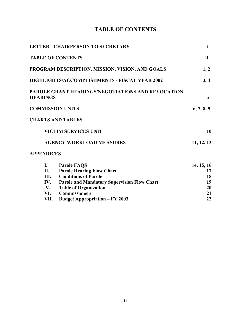# **TABLE OF CONTENTS**

|                   | <b>LETTER - CHAIRPERSON TO SECRETARY</b>             | i              |
|-------------------|------------------------------------------------------|----------------|
|                   | <b>TABLE OF CONTENTS</b>                             | <i>ii</i>      |
|                   | PROGRAM DESCRIPTION, MISSION, VISION, AND GOALS      | 1, 2           |
|                   | <b>HIGHLIGHTS/ACCOMPLISHMENTS - FISCAL YEAR 2002</b> | 3, 4           |
| <b>HEARINGS</b>   | PAROLE GRANT HEARINGS/NEGOTIATIONS AND REVOCATION    | $\overline{5}$ |
|                   | <b>COMMISSION UNITS</b>                              | 6, 7, 8, 9     |
|                   | <b>CHARTS AND TABLES</b>                             |                |
|                   | <b>VICTIM SERVICES UNIT</b>                          | 10             |
|                   | <b>AGENCY WORKLOAD MEASURES</b>                      | 11, 12, 13     |
| <b>APPENDICES</b> |                                                      |                |
| $\mathbf{I}$ .    | <b>Parole FAQS</b>                                   | 14, 15, 16     |
| П.                | <b>Parole Hearing Flow Chart</b>                     | 17             |
| Ш.                | <b>Conditions of Parole</b>                          | 18             |
| IV.               | <b>Parole and Mandatory Supervision Flow Chart</b>   | 19             |
| V.                | <b>Table of Organization</b>                         | 20             |
| VI.               | <b>Commissioners</b>                                 | 21             |
| VII.              | <b>Budget Appropriation - FY 2003</b>                | 22             |

# **ii**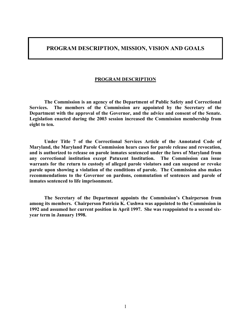## **PROGRAM DESCRIPTION, MISSION, VISION AND GOALS**

#### **PROGRAM DESCRIPTION**

**The Commission is an agency of the Department of Public Safety and Correctional Services. The members of the Commission are appointed by the Secretary of the Department with the approval of the Governor, and the advice and consent of the Senate. Legislation enacted during the 2003 session increased the Commission membership from eight to ten.**

**Under Title 7 of the Correctional Services Article of the Annotated Code of Maryland, the Maryland Parole Commission hears cases for parole release and revocation, and is authorized to release on parole inmates sentenced under the laws of Maryland from any correctional institution except Patuxent Institution. The Commission can issue warrants for the return to custody of alleged parole violators and can suspend or revoke parole upon showing a violation of the conditions of parole. The Commission also makes recommendations to the Governor on pardons, commutation of sentences and parole of inmates sentenced to life imprisonment.** 

**The Secretary of the Department appoints the Commission's Chairperson from among its members. Chairperson Patricia K. Cushwa was appointed to the Commission in 1992 and assumed her current position in April 1997. She was reappointed to a second sixyear term in January 1998.**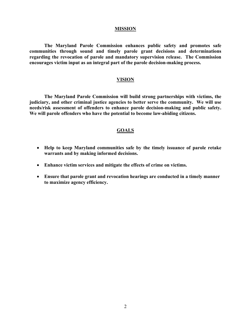#### **MISSION**

**The Maryland Parole Commission enhances public safety and promotes safe communities through sound and timely parole grant decisions and determinations regarding the revocation of parole and mandatory supervision release. The Commission encourages victim input as an integral part of the parole decision-making process.** 

#### **VISION**

**The Maryland Parole Commission will build strong partnerships with victims, the judiciary, and other criminal justice agencies to better serve the community. We will use needs/risk assessment of offenders to enhance parole decision-making and public safety. We will parole offenders who have the potential to become law-abiding citizens.** 

#### **GOALS**

- **Help to keep Maryland communities safe by the timely issuance of parole retake warrants and by making informed decisions.**
- **Enhance victim services and mitigate the effects of crime on victims.**
- **Ensure that parole grant and revocation hearings are conducted in a timely manner to maximize agency efficiency.**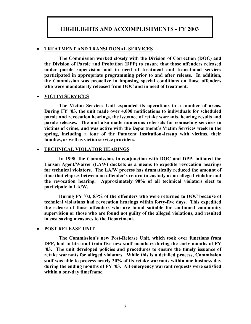# **HIGHLIGHTS AND ACCOMPLISHMENTS - FY 2003**

#### • **TREATMENT AND TRANSITIONAL SERVICES**

**The Commission worked closely with the Division of Correction (DOC) and the Division of Parole and Probation (DPP) to ensure that those offenders released under parole supervision and in need of treatment and transitional services participated in appropriate programming prior to and after release. In addition, the Commission was proactive in imposing special conditions on those offenders who were mandatorily released from DOC and in need of treatment.** 

#### • **VICTIM SERVICES**

**The Victim Services Unit expanded its operations in a number of areas. During FY '03, the unit made over 4,000 notifications to individuals for scheduled parole and revocation hearings, the issuance of retake warrants, hearing results and parole releases. The unit also made numerous referrals for counseling services to victims of crime, and was active with the Department's Victim Services week in the spring, including a tour of the Patuxent Institution-Jessup with victims, their families, as well as victim service providers.** 

#### • **TECHNICAL VIOLATOR HEARINGS**

**In 1998, the Commission, in conjunction with DOC and DPP, initiated the Liaison Agent/Waiver (LAW) dockets as a means to expedite revocation hearings for technical violators. The LA/W process has dramatically reduced the amount of time that elapses between an offender's return to custody as an alleged violator and the revocation hearing. Approximately 90% of all technical violators elect to participate in LA/W.** 

**During FY '03, 83% of the offenders who were returned to DOC because of technical violations had revocation hearings within forty-five days. This expedited the release of those offenders who are found suitable for continued community supervision or those who are found not guilty of the alleged violations, and resulted in cost saving measures to the Department.** 

#### • **POST RELEASE UNIT**

**The Commission's new Post-Release Unit, which took over functions from DPP, had to hire and train five new staff members during the early months of FY '03. The unit developed policies and procedures to ensure the timely issuance of retake warrants for alleged violators. While this is a detailed process, Commission staff was able to process nearly 30% of its retake warrants within one business day during the ending months of FY '03. All emergency warrant requests were satisfied within a one-day timeframe.**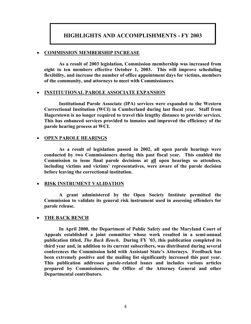## **HIGHLIGHTS AND ACCOMPLISHMENTS - FY 2003**

#### • **COMMISSION MEMBERSHIP INCREASE**

**As a result of 2003 legislation, Commission membership was increased from eight to ten members effective October 1, 2003. This will improve scheduling flexibility, and increase the number of office appointment days for victims, members of the community, and attorneys to meet with Commissioners.** 

#### • **INSTITUTIONAL PAROLE ASSOCIATE EXPANSION**

**Institutional Parole Associate (IPA) services were expanded to the Western Correctional Institution (WCI) in Cumberland during last fiscal year. Staff from Hagerstown is no longer required to travel this lengthy distance to provide services. This has enhanced services provided to inmates and improved the efficiency of the parole hearing process at WCI.** 

#### • **OPEN PAROLE HEARINGS**

**As a result of legislation passed in 2002, all open parole hearings were conducted by two Commissioners during this past fiscal year. This enabled the Commission to issue final parole decisions at all open hearings so attendees, including victims and victims' representatives, were aware of the parole decision before leaving the correctional institution.** 

#### • **RISK INSTRUMENT VALIDATION**

**A grant administered by the Open Society Institute permitted the Commission to validate its general risk instrument used in assessing offenders for parole release.** 

#### • **THE BACK BENCH**

**In April 2000, the Department of Public Safety and the Maryland Court of Appeals established a joint committee whose work resulted in a semi-annual publication titled,** *The Back Bench***. During FY '03, this publication completed its third year and, in addition to its current subscribers, was distributed during several conferences the Commission held with Assistant State's Attorneys. Feedback has been extremely positive and the mailing list significantly increased this past year. This publication addresses parole-related issues and includes various articles prepared by Commissioners, the Office of the Attorney General and other Departmental contributors.**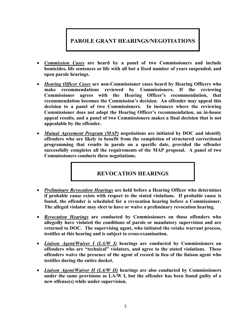# **PAROLE GRANT HEARINGS/NEGOTIATIONS**

- *Commission Cases* **are heard by a panel of two Commissioners and include homicides, life sentences or life with all but a fixed number of years suspended, and open parole hearings.**
- *Hearing Officer Cases* **are non-Commissioner cases heard by Hearing Officers who make recommendations reviewed by Commissioners. If the reviewing Commissioner agrees with the Hearing Officer's recommendation, that recommendation becomes the Commission's decision. An offender may appeal this decision to a panel of two Commissioners. In instances where the reviewing Commissioner does not adopt the Hearing Officer's recommendation, an in-house appeal results, and a panel of two Commissioners makes a final decision that is not appealable by the offender.**
- *Mutual Agreement Program (MAP)* **negotiations are initiated by DOC and identify offenders who are likely to benefit from the completion of structured correctional programming that results in parole on a specific date, provided the offender successfully completes all the requirements of the MAP proposal. A panel of two Commissioners conducts these negotiations.**

# **REVOCATION HEARINGS**

- *Preliminary Revocation Hearings* **are held before a Hearing Officer who determines if probable cause exists with respect to the stated violations. If probable cause is found, the offender is scheduled for a revocation hearing before a Commissioner. The alleged violator may elect to have or waive a preliminary revocation hearing.**
- *Revocation Hearings* **are conducted by Commissioners on those offenders who allegedly have violated the conditions of parole or mandatory supervision and are returned to DOC. The supervising agent, who initiated the retake warrant process, testifies at this hearing and is subject to cross-examination.**
- *Liaison Agent/Waiver I (LA/W I)* **hearings are conducted by Commissioners on offenders who are "technical" violators, and agree to the stated violations. These offenders waive the presence of the agent of record in lieu of the liaison agent who testifies during the entire docket.**
- *Liaison Agent/Waiver II (LA/W II)* **hearings are also conducted by Commissioners under the same provisions as LA/W I, but the offender has been found guilty of a new offense(s) while under supervision.**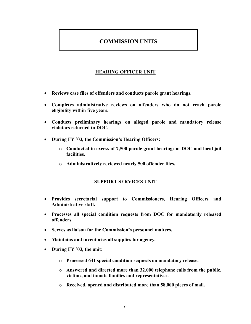# **COMMISSION UNITS**

## **HEARING OFFICER UNIT**

- **Reviews case files of offenders and conducts parole grant hearings.**
- **Completes administrative reviews on offenders who do not reach parole eligibility within five years.**
- **Conducts preliminary hearings on alleged parole and mandatory release violators returned to DOC.**
- **During FY '03, the Commission's Hearing Officers:**
	- o **Conducted in excess of 7,500 parole grant hearings at DOC and local jail facilities.**
	- o **Administratively reviewed nearly 500 offender files.**

#### **SUPPORT SERVICES UNIT**

- **Provides secretarial support to Commissioners, Hearing Officers and Administrative staff.**
- **Processes all special condition requests from DOC for mandatorily released offenders.**
- **Serves as liaison for the Commission's personnel matters.**
- **Maintains and inventories all supplies for agency.**
- **During FY '03, the unit:**
	- o **Processed 641 special condition requests on mandatory release.**
	- o **Answered and directed more than 32,000 telephone calls from the public, victims, and inmate families and representatives.**
	- o **Received, opened and distributed more than 58,000 pieces of mail.**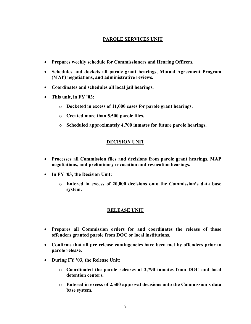#### **PAROLE SERVICES UNIT**

- **Prepares weekly schedule for Commissioners and Hearing Officers.**
- **Schedules and dockets all parole grant hearings, Mutual Agreement Program (MAP) negotiations, and administrative reviews.**
- **Coordinates and schedules all local jail hearings.**
- **This unit, in FY '03:**
	- o **Docketed in excess of 11,000 cases for parole grant hearings.**
	- o **Created more than 5,500 parole files.**
	- o **Scheduled approximately 4,700 inmates for future parole hearings.**

#### **DECISION UNIT**

- **Processes all Commission files and decisions from parole grant hearings, MAP negotiations, and preliminary revocation and revocation hearings.**
- **In FY '03, the Decision Unit:**
	- o **Entered in excess of 20,000 decisions onto the Commission's data base system.**

#### **RELEASE UNIT**

- **Prepares all Commission orders for and coordinates the release of those offenders granted parole from DOC or local institutions.**
- **Confirms that all pre-release contingencies have been met by offenders prior to parole release.**
- **During FY '03, the Release Unit:**
	- o **Coordinated the parole releases of 2,790 inmates from DOC and local detention centers.**
	- o **Entered in excess of 2,500 approval decisions onto the Commission's data base system.**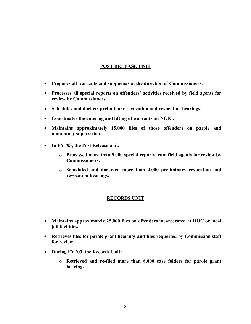#### **POST RELEASE UNIT**

- **Prepares all warrants and subpoenas at the direction of Commissioners.**
- **Processes all special reports on offenders' activities received by field agents for review by Commissioners.**
- **Schedules and dockets preliminary revocation and revocation hearings.**
- **Coordinates the entering and lifting of warrants on NCIC.**
- **Maintains approximately 15,000 files of those offenders on parole and mandatory supervision.**
- **In FY '03, the Post Release unit:**
	- o **Processed more than 9,000 special reports from field agents for review by Commissioners.**
	- o **Scheduled and docketed more than 4,000 preliminary revocation and revocation hearings.**

#### **RECORDS UNIT**

- **Maintains approximately 25,000 files on offenders incarcerated at DOC or local jail facilities.**
- **Retrieves files for parole grant hearings and files requested by Commission staff for review.**
- **During FY '03, the Records Unit:**
	- o **Retrieved and re-filed more than 8,000 case folders for parole grant hearings.**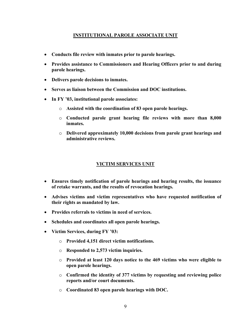#### **INSTITUTIONAL PAROLE ASSOCIATE UNIT**

- **Conducts file review with inmates prior to parole hearings.**
- **Provides assistance to Commissioners and Hearing Officers prior to and during parole hearings.**
- **Delivers parole decisions to inmates.**
- **Serves as liaison between the Commission and DOC institutions.**
- **In FY '03, institutional parole associates:**
	- o **Assisted with the coordination of 83 open parole hearings.**
	- o **Conducted parole grant hearing file reviews with more than 8,000 inmates.**
	- o **Delivered approximately 10,000 decisions from parole grant hearings and administrative reviews.**

#### **VICTIM SERVICES UNIT**

- **Ensures timely notification of parole hearings and hearing results, the issuance of retake warrants, and the results of revocation hearings.**
- **Advises victims and victim representatives who have requested notification of their rights as mandated by law.**
- **Provides referrals to victims in need of services.**
- **Schedules and coordinates all open parole hearings.**
- **Victim Services, during FY '03:**
	- o **Provided 4,151 direct victim notifications.**
	- o **Responded to 2,573 victim inquiries.**
	- o **Provided at least 120 days notice to the 469 victims who were eligible to open parole hearings.**
	- o **Confirmed the identity of 377 victims by requesting and reviewing police reports and/or court documents.**
	- o **Coordinated 83 open parole hearings with DOC.**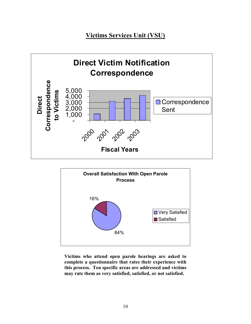# **Victims Services Unit (VSU)**





**Victims who attend open parole hearings are asked to complete a questionnaire that rates their experience with this process. Ten specific areas are addressed and victims may rate them as very satisfied, satisfied, or not satisfied.**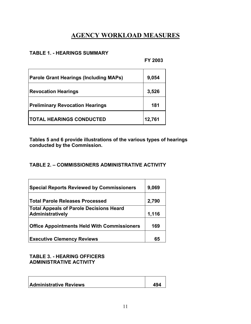# **AGENCY WORKLOAD MEASURES**

#### **TABLE 1. - HEARINGS SUMMARY**

**FY 2003**

| <b>Parole Grant Hearings (Including MAPs)</b> | 9,054  |
|-----------------------------------------------|--------|
| <b>Revocation Hearings</b>                    | 3,526  |
| <b>Preliminary Revocation Hearings</b>        | 181    |
| <b>ITOTAL HEARINGS CONDUCTED</b>              | 12,761 |

**Tables 5 and 6 provide illustrations of the various types of hearings conducted by the Commission.** 

# **TABLE 2. – COMMISSIONERS ADMINISTRATIVE ACTIVITY**

| <b>Special Reports Reviewed by Commissioners</b>                   | 9,069 |
|--------------------------------------------------------------------|-------|
| <b>Total Parole Releases Processed</b>                             | 2,790 |
| <b>Total Appeals of Parole Decisions Heard</b><br>Administratively | 1,116 |
| <b>Office Appointments Held With Commissioners</b>                 | 169   |
| <b>Executive Clemency Reviews</b>                                  | 65    |

**TABLE 3. - HEARING OFFICERS ADMINISTRATIVE ACTIVITY** 

| <b>Administrative Reviews</b> | 494 |
|-------------------------------|-----|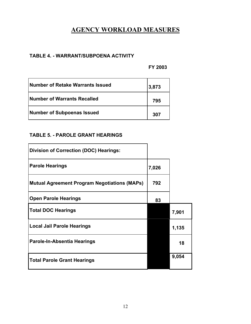# **AGENCY WORKLOAD MEASURES**

# **TABLE 4. - WARRANT/SUBPOENA ACTIVITY**

**FY 2003**

| <b>Number of Retake Warrants Issued</b> | 3,873 |
|-----------------------------------------|-------|
| <b>Number of Warrants Recalled</b>      | 795   |
| Number of Subpoenas Issued              | 307   |

# **TABLE 5. - PAROLE GRANT HEARINGS**

| <b>Division of Correction (DOC) Hearings:</b>       |       |       |
|-----------------------------------------------------|-------|-------|
| <b>Parole Hearings</b>                              | 7,026 |       |
| <b>Mutual Agreement Program Negotiations (MAPs)</b> | 792   |       |
| <b>Open Parole Hearings</b>                         | 83    |       |
| <b>Total DOC Hearings</b>                           |       | 7,901 |
| Local Jail Parole Hearings                          |       | 1,135 |
| Parole-In-Absentia Hearings                         |       | 18    |
| <b>Total Parole Grant Hearings</b>                  |       | 9,054 |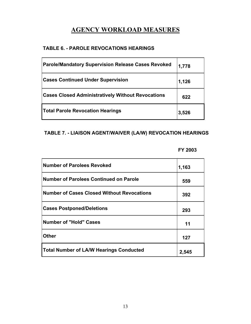# **AGENCY WORKLOAD MEASURES**

# **TABLE 6. - PAROLE REVOCATIONS HEARINGS**

| <b>Parole/Mandatory Supervision Release Cases Revoked</b> | 1,778 |
|-----------------------------------------------------------|-------|
| <b>Cases Continued Under Supervision</b>                  | 1,126 |
| <b>Cases Closed Administratively Without Revocations</b>  | 622   |
| <b>Total Parole Revocation Hearings</b>                   | 3,526 |

## **TABLE 7. - LIAISON AGENT/WAIVER (LA/W) REVOCATION HEARINGS**

#### **FY 2003**

| <b>Number of Parolees Revoked</b>                 | 1,163 |
|---------------------------------------------------|-------|
| <b>Number of Parolees Continued on Parole</b>     | 559   |
| <b>Number of Cases Closed Without Revocations</b> | 392   |
| <b>Cases Postponed/Deletions</b>                  | 293   |
| <b>Number of "Hold" Cases</b>                     | 11    |
| <b>Other</b>                                      | 127   |
| <b>Total Number of LA/W Hearings Conducted</b>    | 2,545 |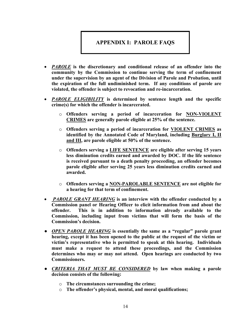# **APPENDIX I: PAROLE FAQS**

- *PAROLE* **is the discretionary and conditional release of an offender into the community by the Commission to continue serving the term of confinement under the supervision by an agent of the Division of Parole and Probation, until the expiration of the full undiminished term. If any conditions of parole are violated, the offender is subject to revocation and re-incarceration.**
- *PAROLE ELIGIBILITY* **is determined by sentence length and the specific crime(s) for which the offender is incarcerated.** 
	- o **Offenders serving a period of incarceration for NON-VIOLENT CRIMES are generally parole eligible at 25% of the sentence.**
	- o **Offenders serving a period of incarceration for VIOLENT CRIMES as identified by the Annotated Code of Maryland, including Burglary I, II and III, are parole eligible at 50% of the sentence.**
	- o **Offenders serving a LIFE SENTENCE are eligible after serving 15 years less diminution credits earned and awarded by DOC. If the life sentence is received pursuant to a death penalty proceeding, an offender becomes parole eligible after serving 25 years less diminution credits earned and awarded.**
	- o **Offenders serving a NON-PAROLABLE SENTENCE are not eligible for a hearing for that term of confinement.**
- *PAROLE GRANT HEARING* **is an interview with the offender conducted by a Commission panel or Hearing Officer to elicit information from and about the offender. This is in addition to information already available to the Commission, including input from victims that will form the basis of the Commission's decision.**
- *● OPEN PAROLE HEARING* **is essentially the same as a "regular" parole grant hearing, except it has been opened to the public at the request of the victim or victim's representative who is permitted to speak at this hearing. Individuals must make a request to attend these proceedings, and the Commission determines who may or may not attend. Open hearings are conducted by two Commissioners.**
- *● CRITERIA THAT MUST BE CONSIDERED* **by law when making a parole decision consists of the following:** 
	- o **The circumstances surrounding the crime;**
	- o **The offender's physical, mental, and moral qualifications;**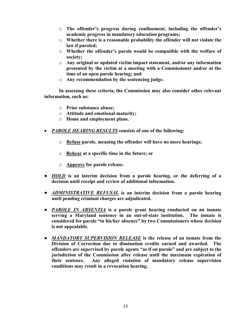- o **The offender's progress during confinement, including the offender's academic progress in mandatory education programs;**
- o **Whether there is a reasonable probability the offender will not violate the law if paroled;**
- o **Whether the offender's parole would be compatible with the welfare of society;**
- o **Any original or updated victim impact statement, and/or any information presented by the victim at a meeting with a Commissioner and/or at the time of an open parole hearing; and**
- o **Any recommendation by the sentencing judge.**

**In assessing these criteria, the Commission may also consider other relevant information, such as:** 

- o **Prior substance abuse;**
- o **Attitude and emotional maturity;**
- o **Home and employment plans.**
- *PAROLE HEARING RESULTS* **consists of one of the following:** 
	- o **Refuse parole, meaning the offender will have no more hearings;**
	- o **Rehear at a specific time in the future; or**
	- o **Approve for parole release.**
- *● HOLD* **is an interim decision from a parole hearing, or the deferring of a decision until receipt and review of additional information.**
- **●** *ADMINISTRATIVE REFUSAL* **is an interim decision from a parole hearing until pending criminal charges are adjudicated.**
- *● PAROLE IN ABSENTIA* **is a parole grant hearing conducted on an inmate serving a Maryland sentence in an out-of-state institution. The inmate is considered for parole "in his/her absence" by two Commissioners whose decision is not appealable.**
- *● MANDATORY SUPERVISION RELEASE* **is the release of an inmate from the Division of Correction due to diminution credits earned and awarded. The offenders are supervised by parole agents "as if on parole" and are subject to the jurisdiction of the Commission after release until the maximum expiration of their sentence. Any alleged violation of mandatory release supervision conditions may result in a revocation hearing.**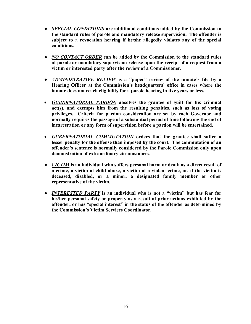- *● SPECIAL CONDITIONS* **are additional conditions added by the Commission to the standard rules of parole and mandatory release supervision. The offender is subject to a revocation hearing if he/she allegedly violates any of the special conditions.**
- *● NO CONTACT ORDER* **can be added by the Commission to the standard rules of parole or mandatory supervision release upon the receipt of a request from a victim or interested party after the review of a Commissioner.**
- *● ADMINISTRATIVE REVIEW* **is a "paper" review of the inmate's file by a Hearing Officer at the Commission's headquarters' office in cases where the inmate does not reach eligibility for a parole hearing in five years or less.**
- *GUBERNATORIAL PARDON* **absolves the grantee of guilt for his criminal act(s), and exempts him from the resulting penalties, such as loss of voting privileges. Criteria for pardon consideration are set by each Governor and normally requires the passage of a substantial period of time following the end of incarceration or any form of supervision before a pardon will be entertained.**
- *GUBERNATORIAL COMMUTATION* **orders that the grantee shall suffer a lesser penalty for the offense than imposed by the court. The commutation of an offender's sentence is normally considered by the Parole Commission only upon demonstration of extraordinary circumstances.**
- **●** *VICTIM* **is an individual who suffers personal harm or death as a direct result of a crime, a victim of child abuse, a victim of a violent crime, or, if the victim is deceased, disabled, or a minor, a designated family member or other representative of the victim.**
- **●** *INTERESTED PARTY* **is an individual who is not a "victim" but has fear for his/her personal safety or property as a result of prior actions exhibited by the offender, or has "special interest" in the status of the offender as determined by the Commission's Victim Services Coordinator.**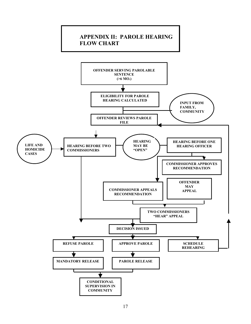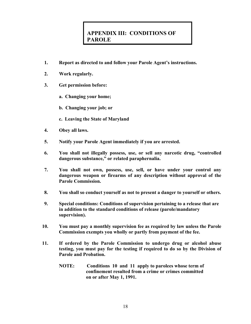# **APPENDIX III: CONDITIONS OF PAROLE**

- **1. Report as directed to and follow your Parole Agent's instructions.**
- **2. Work regularly.**
- **3. Get permission before:** 
	- **a. Changing your home;**
	- **b. Changing your job; or**
	- **c. Leaving the State of Maryland**
- **4. Obey all laws.**
- **5. Notify your Parole Agent immediately if you are arrested.**
- **6. You shall not illegally possess, use, or sell any narcotic drug, "controlled dangerous substance," or related paraphernalia.**
- **7. You shall not own, possess, use, sell, or have under your control any dangerous weapon or firearms of any description without approval of the Parole Commission.**
- **8. You shall so conduct yourself as not to present a danger to yourself or others.**
- **9. Special conditions: Conditions of supervision pertaining to a release that are in addition to the standard conditions of release (parole/mandatory supervision).**
- **10. You must pay a monthly supervision fee as required by law unless the Parole Commission exempts you wholly or partly from payment of the fee.**
- **11. If ordered by the Parole Commission to undergo drug or alcohol abuse testing, you must pay for the testing if required to do so by the Division of Parole and Probation.** 
	- **NOTE: Conditions 10 and 11 apply to parolees whose term of confinement resulted from a crime or crimes committed on or after May 1, 1991.**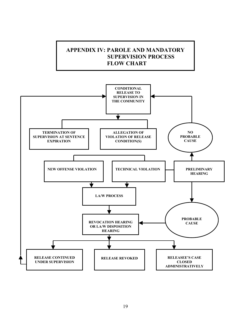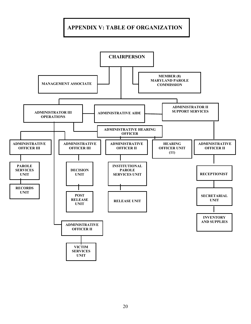# **APPENDIX V: TABLE OF ORGANIZATION**

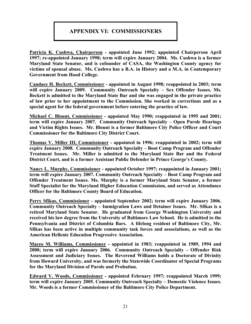# **APPENDIX VI: COMMISSIONERS**

**Patricia K. Cushwa, Chairperson - appointed June 1992; appointed Chairperson April 1997; re-appointed January 1998; term will expire January 2004. Ms. Cushwa is a former Maryland State Senator, and is cofounder of CASA, the Washington County agency for victims of spousal abuse. Ms. Cushwa has a B.A. in History and a M.A. in Contemporary Government from Hood College.** 

**Candace H. Beckett, Commissioner - appointed in August 1998; reappointed in 2003; term will expire January 2009. Community Outreach Specialty – Sex Offender Issues. Ms. Beckett is admitted to the Maryland State Bar and she was engaged in the private practice of law prior to her appointment to the Commission. She worked in corrections and as a special agent for the federal government before entering the practice of law.**

**Michael C. Blount, Commissioner - appointed May 1990; reappointed in 1995 and 2001; term will expire January 2007. Community Outreach Specialty – Open Parole Hearings and Victim Rights Issues. Mr. Blount is a former Baltimore City Police Officer and Court Commissioner for the Baltimore City District Court.** 

**Thomas V. Miller III, Commissioner - appointed in 1996; reappointed in 2002; term will expire January 2008. Community Outreach Specialty – Boot Camp Program and Offender Treatment Issues. Mr. Miller is admitted to the Maryland State Bar and the Federal District Court, and is a former Assistant Public Defender in Prince George's County.** 

**Nancy L. Murphy, Commissioner - appointed October 1997; reappointed in January 2001; term will expire January 2007. Community Outreach Specialty – Boot Camp Program and Offender Treatment Issues. Ms. Murphy is a former Maryland State Senator, a former Staff Specialist for the Maryland Higher Education Commission, and served as Attendance Officer for the Baltimore County Board of Education.** 

**Perry Sfikas, Commissioner - appointed September 2002; term will expire January 2006. Community Outreach Specialty – Immigration Laws and Detainer Issues. Mr. Sfikas is a retired Maryland State Senator. He graduated from George Washington University and received his law degree from the University of Baltimore Law School. He is admitted to the Pennsylvania and District of Columbia Bars. A lifelong resident of Baltimore City, Mr. Sfikas has been active in multiple community task forces and associations, as well as the American Hellenic Education Progressive Association.** 

**Maceo M. Williams, Commissioner - appointed in 1983; reappointed in 1989, 1994 and 2000; term will expire January 2006. Community Outreach Specialty – Offender Risk Assessment and Judiciary Issues. The Reverend Williams holds a Doctorate of Divinity from Howard University, and was formerly the Statewide Coordinator of Special Programs for the Maryland Division of Parole and Probation.** 

**Edward V. Woods, Commissioner - appointed February 1997; reappointed March 1999; term will expire January 2005. Community Outreach Specialty – Domestic Violence Issues. Mr. Woods is a former Commissioner of the Baltimore City Police Department.**